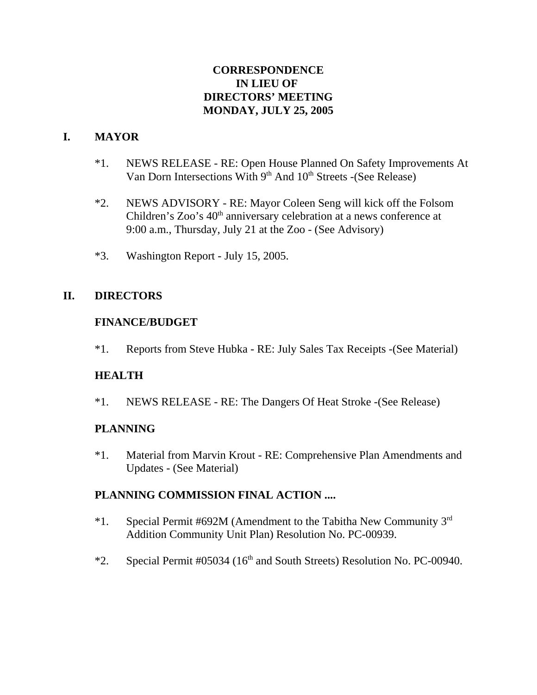# **CORRESPONDENCE IN LIEU OF DIRECTORS' MEETING MONDAY, JULY 25, 2005**

# **I. MAYOR**

- \*1. NEWS RELEASE RE: Open House Planned On Safety Improvements At Van Dorn Intersections With 9<sup>th</sup> And 10<sup>th</sup> Streets -(See Release)
- \*2. NEWS ADVISORY RE: Mayor Coleen Seng will kick off the Folsom Children's Zoo's 40<sup>th</sup> anniversary celebration at a news conference at 9:00 a.m., Thursday, July 21 at the Zoo - (See Advisory)
- \*3. Washington Report July 15, 2005.

## **II. DIRECTORS**

## **FINANCE/BUDGET**

\*1. Reports from Steve Hubka - RE: July Sales Tax Receipts -(See Material)

## **HEALTH**

\*1. NEWS RELEASE - RE: The Dangers Of Heat Stroke -(See Release)

## **PLANNING**

\*1. Material from Marvin Krout - RE: Comprehensive Plan Amendments and Updates - (See Material)

## **PLANNING COMMISSION FINAL ACTION ....**

- \*1. Special Permit #692M (Amendment to the Tabitha New Community  $3<sup>rd</sup>$ Addition Community Unit Plan) Resolution No. PC-00939.
- \*2. Special Permit  $\#05034$  (16<sup>th</sup> and South Streets) Resolution No. PC-00940.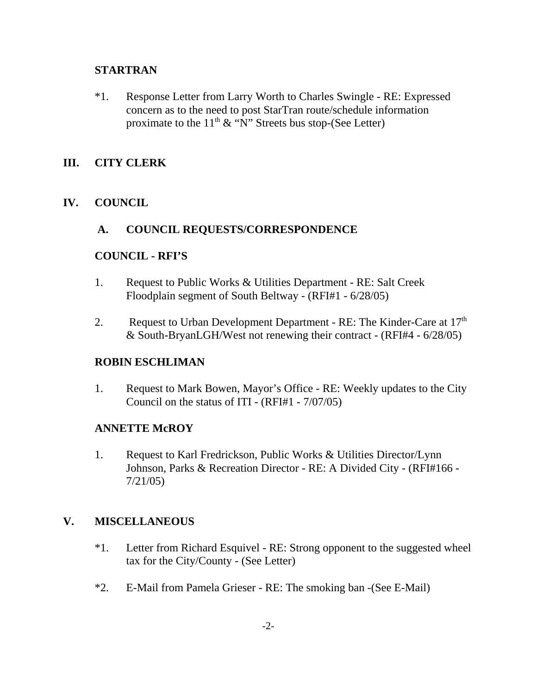#### **STARTRAN**

\*1. Response Letter from Larry Worth to Charles Swingle - RE: Expressed concern as to the need to post StarTran route/schedule information proximate to the  $11<sup>th</sup>$  & "N" Streets bus stop-(See Letter)

#### **III. CITY CLERK**

## **IV. COUNCIL**

#### **A. COUNCIL REQUESTS/CORRESPONDENCE**

#### **COUNCIL - RFI'S**

- 1. Request to Public Works & Utilities Department RE: Salt Creek Floodplain segment of South Beltway - (RFI#1 - 6/28/05)
- 2. Request to Urban Development Department RE: The Kinder-Care at  $17<sup>th</sup>$ & South-BryanLGH/West not renewing their contract - (RFI#4 - 6/28/05)

#### **ROBIN ESCHLIMAN**

1. Request to Mark Bowen, Mayor's Office - RE: Weekly updates to the City Council on the status of ITI - (RFI#1 - 7/07/05)

#### **ANNETTE McROY**

1. Request to Karl Fredrickson, Public Works & Utilities Director/Lynn Johnson, Parks & Recreation Director - RE: A Divided City - (RFI#166 - 7/21/05)

## **V. MISCELLANEOUS**

- \*1. Letter from Richard Esquivel RE: Strong opponent to the suggested wheel tax for the City/County - (See Letter)
- \*2. E-Mail from Pamela Grieser RE: The smoking ban -(See E-Mail)